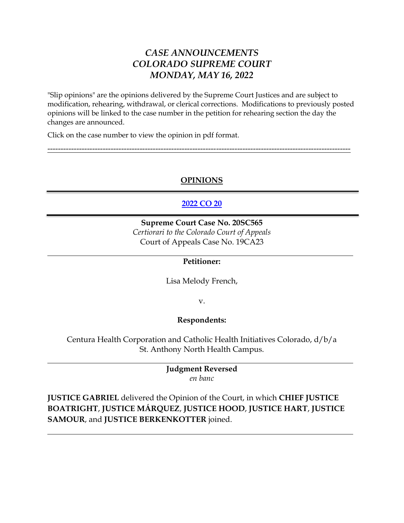## *CASE ANNOUNCEMENTS COLORADO SUPREME COURT MONDAY, MAY 16, 2022*

"Slip opinions" are the opinions delivered by the Supreme Court Justices and are subject to modification, rehearing, withdrawal, or clerical corrections. Modifications to previously posted opinions will be linked to the case number in the petition for rehearing section the day the changes are announced.

Click on the case number to view the opinion in pdf format.

## **OPINIONS**

-------------------------------------------------------------------------------------------------------------------

## **[2022 CO 20](https://www.courts.state.co.us/userfiles/file/Court_Probation/Supreme_Court/Opinions/2020/20SC565.pdf)**

**Supreme Court Case No. 20SC565** *Certiorari to the Colorado Court of Appeals* Court of Appeals Case No. 19CA23

## **Petitioner:**

Lisa Melody French,

v.

#### **Respondents:**

Centura Health Corporation and Catholic Health Initiatives Colorado, d/b/a St. Anthony North Health Campus.

### **Judgment Reversed** *en banc*

**JUSTICE GABRIEL** delivered the Opinion of the Court, in which **CHIEF JUSTICE BOATRIGHT**, **JUSTICE MÁRQUEZ**, **JUSTICE HOOD**, **JUSTICE HART**, **JUSTICE SAMOUR**, and **JUSTICE BERKENKOTTER** joined.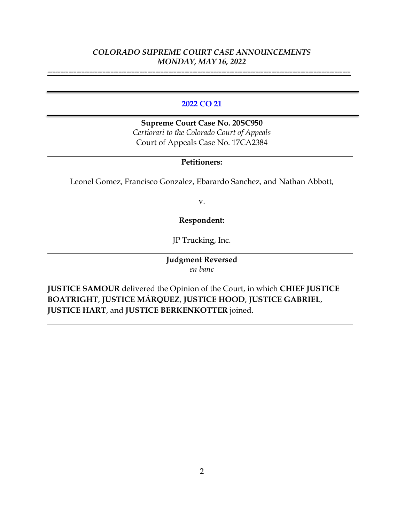-------------------------------------------------------------------------------------------------------------------

### **[2022 CO 21](https://www.courts.state.co.us/userfiles/file/Court_Probation/Supreme_Court/Opinions/2020/20SC950.pdf)**

**Supreme Court Case No. 20SC950** *Certiorari to the Colorado Court of Appeals* Court of Appeals Case No. 17CA2384

## **Petitioners:**

Leonel Gomez, Francisco Gonzalez, Ebarardo Sanchez, and Nathan Abbott,

v.

**Respondent:**

JP Trucking, Inc.

**Judgment Reversed** *en banc*

**JUSTICE SAMOUR** delivered the Opinion of the Court, in which **CHIEF JUSTICE BOATRIGHT**, **JUSTICE MÁRQUEZ**, **JUSTICE HOOD**, **JUSTICE GABRIEL**, **JUSTICE HART**, and **JUSTICE BERKENKOTTER** joined.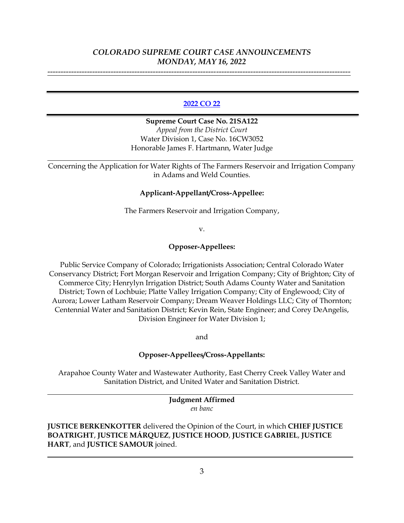-------------------------------------------------------------------------------------------------------------------

#### **[2022 CO 22](https://www.courts.state.co.us/userfiles/file/Court_Probation/Supreme_Court/Opinions/2021/21SA122.pdf)**

**Supreme Court Case No. 21SA122** *Appeal from the District Court* Water Division 1, Case No. 16CW3052 Honorable James F. Hartmann, Water Judge

Concerning the Application for Water Rights of The Farmers Reservoir and Irrigation Company in Adams and Weld Counties.

#### **Applicant-Appellant/Cross-Appellee:**

The Farmers Reservoir and Irrigation Company,

v.

### **Opposer-Appellees:**

Public Service Company of Colorado; Irrigationists Association; Central Colorado Water Conservancy District; Fort Morgan Reservoir and Irrigation Company; City of Brighton; City of Commerce City; Henrylyn Irrigation District; South Adams County Water and Sanitation District; Town of Lochbuie; Platte Valley Irrigation Company; City of Englewood; City of Aurora; Lower Latham Reservoir Company; Dream Weaver Holdings LLC; City of Thornton; Centennial Water and Sanitation District; Kevin Rein, State Engineer; and Corey DeAngelis, Division Engineer for Water Division 1;

and

#### **Opposer-Appellees/Cross-Appellants:**

Arapahoe County Water and Wastewater Authority, East Cherry Creek Valley Water and Sanitation District, and United Water and Sanitation District.

> **Judgment Affirmed** *en banc*

**JUSTICE BERKENKOTTER** delivered the Opinion of the Court, in which **CHIEF JUSTICE BOATRIGHT**, **JUSTICE MÁRQUEZ**, **JUSTICE HOOD**, **JUSTICE GABRIEL**, **JUSTICE HART**, and **JUSTICE SAMOUR** joined.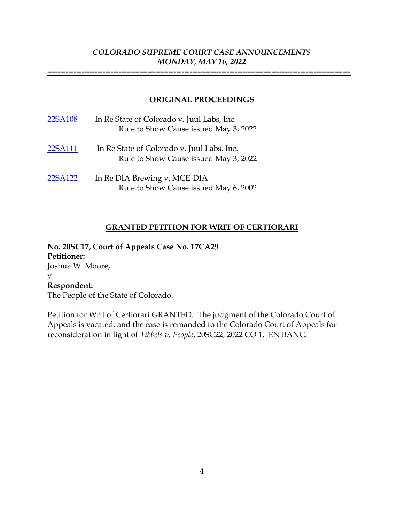-------------------------------------------------------------------------------------------------------------------

## **ORIGINAL PROCEEDINGS**

| 22SA108 | In Re State of Colorado v. Juul Labs, Inc.<br>Rule to Show Cause issued May 3, 2022 |
|---------|-------------------------------------------------------------------------------------|
| 22SA111 | In Re State of Colorado v. Juul Labs, Inc.<br>Rule to Show Cause issued May 3, 2022 |
| 22SA122 | In Re DIA Brewing v. MCE-DIA<br>Rule to Show Cause issued May 6, 2002               |

#### **GRANTED PETITION FOR WRIT OF CERTIORARI**

**No. 20SC17, Court of Appeals Case No. 17CA29 Petitioner:** Joshua W. Moore, v. **Respondent:** The People of the State of Colorado.

Petition for Writ of Certiorari GRANTED. The judgment of the Colorado Court of Appeals is vacated, and the case is remanded to the Colorado Court of Appeals for reconsideration in light of *Tibbels v. People*, 20SC22, 2022 CO 1. EN BANC.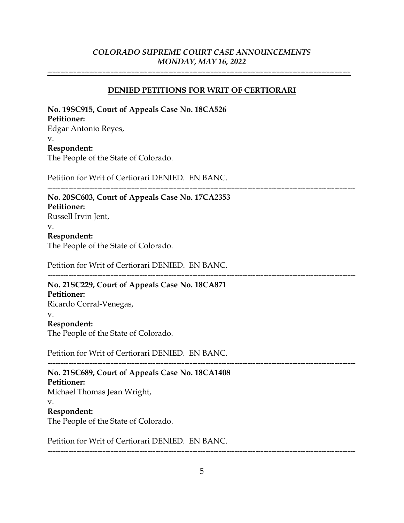-------------------------------------------------------------------------------------------------------------------

## **DENIED PETITIONS FOR WRIT OF CERTIORARI**

| No. 19SC915, Court of Appeals Case No. 18CA526<br><b>Petitioner:</b> |  |
|----------------------------------------------------------------------|--|
| Edgar Antonio Reyes,                                                 |  |
| v.                                                                   |  |
| Respondent:                                                          |  |
| The People of the State of Colorado.                                 |  |
| Petition for Writ of Certiorari DENIED. EN BANC.                     |  |
| No. 20SC603, Court of Appeals Case No. 17CA2353<br>Petitioner:       |  |
| Russell Irvin Jent,                                                  |  |
| v.                                                                   |  |
| Respondent:                                                          |  |
| The People of the State of Colorado.                                 |  |
| Petition for Writ of Certiorari DENIED. EN BANC.                     |  |
| No. 21SC229, Court of Appeals Case No. 18CA871                       |  |
|                                                                      |  |
|                                                                      |  |
|                                                                      |  |
| Petitioner:<br>Ricardo Corral-Venegas,<br>v.                         |  |
| Respondent:                                                          |  |
| The People of the State of Colorado.                                 |  |
| Petition for Writ of Certiorari DENIED. EN BANC.                     |  |
| No. 21SC689, Court of Appeals Case No. 18CA1408                      |  |
|                                                                      |  |
|                                                                      |  |
| Petitioner:<br>Michael Thomas Jean Wright,<br>v.                     |  |
| Respondent:                                                          |  |
| The People of the State of Colorado.                                 |  |
| Petition for Writ of Certiorari DENIED. EN BANC.                     |  |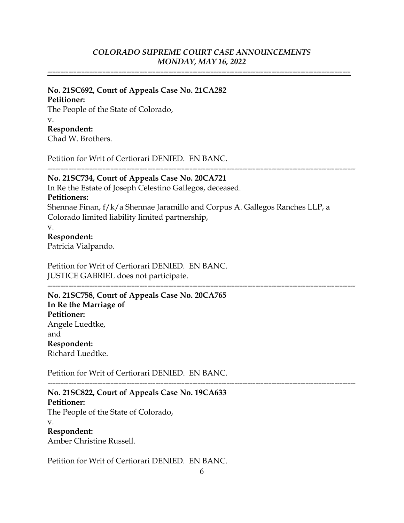-------------------------------------------------------------------------------------------------------------------

## **No. 21SC692, Court of Appeals Case No. 21CA282**

## **Petitioner:**

The People of the State of Colorado, v. **Respondent:** Chad W. Brothers.

Petition for Writ of Certiorari DENIED. EN BANC.

--------------------------------------------------------------------------------------------------------------------- **No. 21SC734, Court of Appeals Case No. 20CA721**

In Re the Estate of Joseph Celestino Gallegos, deceased. **Petitioners:** Shennae Finan, f/k/a Shennae Jaramillo and Corpus A. Gallegos Ranches LLP, a Colorado limited liability limited partnership,

v.

#### **Respondent:**

Patricia Vialpando.

Petition for Writ of Certiorari DENIED. EN BANC. JUSTICE GABRIEL does not participate.

--------------------------------------------------------------------------------------------------------------------- **No. 21SC758, Court of Appeals Case No. 20CA765 In Re the Marriage of Petitioner:** Angele Luedtke, and **Respondent:** Richard Luedtke.

Petition for Writ of Certiorari DENIED. EN BANC. ---------------------------------------------------------------------------------------------------------------------

# **No. 21SC822, Court of Appeals Case No. 19CA633**

**Petitioner:** The People of the State of Colorado,

v.

## **Respondent:**

Amber Christine Russell.

Petition for Writ of Certiorari DENIED. EN BANC.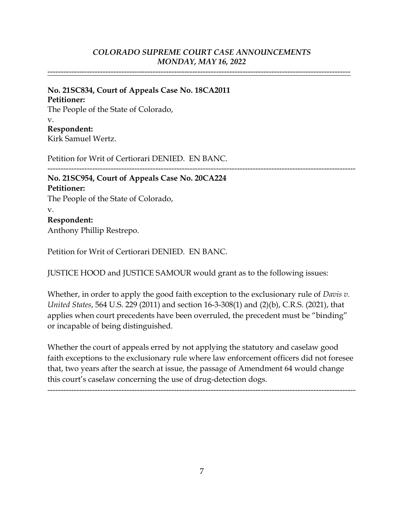-------------------------------------------------------------------------------------------------------------------

## **No. 21SC834, Court of Appeals Case No. 18CA2011 Petitioner:** The People of the State of Colorado, v. **Respondent:**

Kirk Samuel Wertz.

Petition for Writ of Certiorari DENIED. EN BANC.

## --------------------------------------------------------------------------------------------------------------------- **No. 21SC954, Court of Appeals Case No. 20CA224 Petitioner:** The People of the State of Colorado, v.

## **Respondent:**

Anthony Phillip Restrepo.

Petition for Writ of Certiorari DENIED. EN BANC.

JUSTICE HOOD and JUSTICE SAMOUR would grant as to the following issues:

Whether, in order to apply the good faith exception to the exclusionary rule of *Davis v. United States*, 564 U.S. 229 (2011) and section 16-3-308(1) and (2)(b), C.R.S. (2021), that applies when court precedents have been overruled, the precedent must be "binding" or incapable of being distinguished.

Whether the court of appeals erred by not applying the statutory and caselaw good faith exceptions to the exclusionary rule where law enforcement officers did not foresee that, two years after the search at issue, the passage of Amendment 64 would change this court's caselaw concerning the use of drug-detection dogs.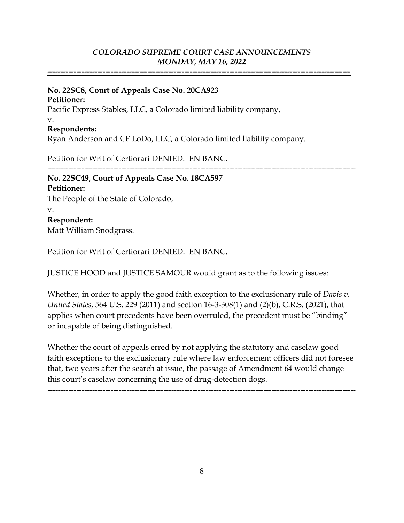-------------------------------------------------------------------------------------------------------------------

## **No. 22SC8, Court of Appeals Case No. 20CA923**

**Petitioner:**

Pacific Express Stables, LLC, a Colorado limited liability company, v.

## **Respondents:**

Ryan Anderson and CF LoDo, LLC, a Colorado limited liability company.

Petition for Writ of Certiorari DENIED. EN BANC.

## --------------------------------------------------------------------------------------------------------------------- **No. 22SC49, Court of Appeals Case No. 18CA597 Petitioner:**

The People of the State of Colorado, v. **Respondent:** Matt William Snodgrass.

Petition for Writ of Certiorari DENIED. EN BANC.

JUSTICE HOOD and JUSTICE SAMOUR would grant as to the following issues:

Whether, in order to apply the good faith exception to the exclusionary rule of *Davis v. United States*, 564 U.S. 229 (2011) and section 16-3-308(1) and (2)(b), C.R.S. (2021), that applies when court precedents have been overruled, the precedent must be "binding" or incapable of being distinguished.

Whether the court of appeals erred by not applying the statutory and caselaw good faith exceptions to the exclusionary rule where law enforcement officers did not foresee that, two years after the search at issue, the passage of Amendment 64 would change this court's caselaw concerning the use of drug-detection dogs.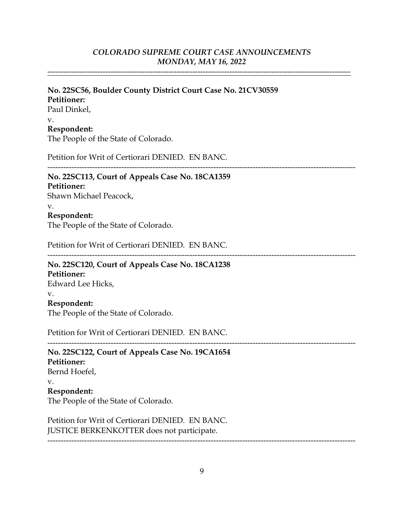-------------------------------------------------------------------------------------------------------------------

### **No. 22SC56, Boulder County District Court Case No. 21CV30559 Petitioner:** Paul Dinkel, v.

#### **Respondent:**

The People of the State of Colorado.

Petition for Writ of Certiorari DENIED. EN BANC.

---------------------------------------------------------------------------------------------------------------------

---------------------------------------------------------------------------------------------------------------------

## **No. 22SC113, Court of Appeals Case No. 18CA1359**

**Petitioner:**

Shawn Michael Peacock,

v.

#### **Respondent:**

The People of the State of Colorado.

Petition for Writ of Certiorari DENIED. EN BANC.

## **No. 22SC120, Court of Appeals Case No. 18CA1238 Petitioner:**

Edward Lee Hicks,

## v.

**Respondent:**

The People of the State of Colorado.

Petition for Writ of Certiorari DENIED. EN BANC.

### --------------------------------------------------------------------------------------------------------------------- **No. 22SC122, Court of Appeals Case No. 19CA1654 Petitioner:** Bernd Hoefel, v.

#### **Respondent:**

The People of the State of Colorado.

Petition for Writ of Certiorari DENIED. EN BANC. JUSTICE BERKENKOTTER does not participate.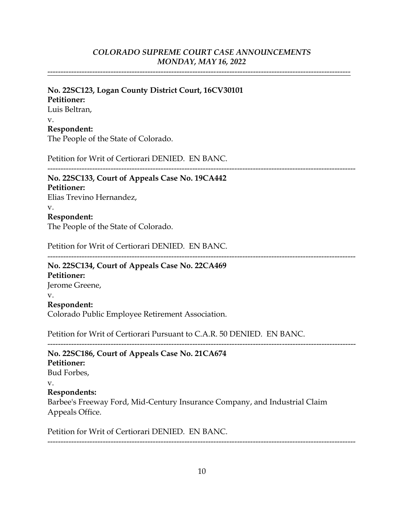-------------------------------------------------------------------------------------------------------------------

## **No. 22SC123, Logan County District Court, 16CV30101 Petitioner:**

Luis Beltran, v. **Respondent:** The People of the State of Colorado.

Petition for Writ of Certiorari DENIED. EN BANC.

#### ---------------------------------------------------------------------------------------------------------------------

#### **No. 22SC133, Court of Appeals Case No. 19CA442 Petitioner:**

Elias Trevino Hernandez, v. **Respondent:**

The People of the State of Colorado.

Petition for Writ of Certiorari DENIED. EN BANC.

---------------------------------------------------------------------------------------------------------------------

#### **No. 22SC134, Court of Appeals Case No. 22CA469 Petitioner:**

Jerome Greene,

#### v.

**Respondent:**

Colorado Public Employee Retirement Association.

Petition for Writ of Certiorari Pursuant to C.A.R. 50 DENIED. EN BANC.

### --------------------------------------------------------------------------------------------------------------------- **No. 22SC186, Court of Appeals Case No. 21CA674 Petitioner:**

Bud Forbes,

#### v.

**Respondents:**

Barbee's Freeway Ford, Mid-Century Insurance Company, and Industrial Claim Appeals Office.

Petition for Writ of Certiorari DENIED. EN BANC.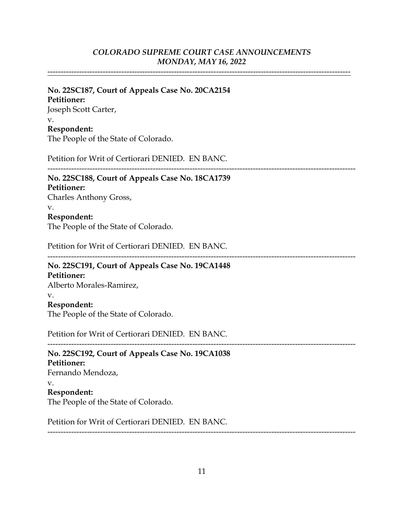-------------------------------------------------------------------------------------------------------------------

## **No. 22SC187, Court of Appeals Case No. 20CA2154 Petitioner:** Joseph Scott Carter, v. **Respondent:**

The People of the State of Colorado.

Petition for Writ of Certiorari DENIED. EN BANC.

#### --------------------------------------------------------------------------------------------------------------------- **No. 22SC188, Court of Appeals Case No. 18CA1739**

# **Petitioner:**

Charles Anthony Gross, v. **Respondent:** The People of the State of Colorado.

Petition for Writ of Certiorari DENIED. EN BANC.

---------------------------------------------------------------------------------------------------------------------

#### **No. 22SC191, Court of Appeals Case No. 19CA1448 Petitioner:**

Alberto Morales-Ramirez, v. **Respondent:** The People of the State of Colorado.

Petition for Writ of Certiorari DENIED. EN BANC.

--------------------------------------------------------------------------------------------------------------------- **No. 22SC192, Court of Appeals Case No. 19CA1038 Petitioner:** Fernando Mendoza, v. **Respondent:** The People of the State of Colorado.

Petition for Writ of Certiorari DENIED. EN BANC.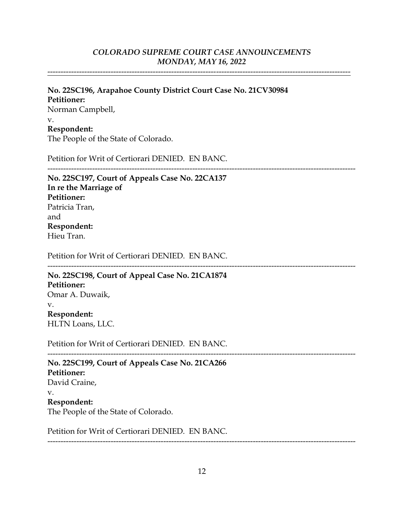-------------------------------------------------------------------------------------------------------------------

## **No. 22SC196, Arapahoe County District Court Case No. 21CV30984 Petitioner:** Norman Campbell, v. **Respondent:**

The People of the State of Colorado.

Petition for Writ of Certiorari DENIED. EN BANC.

--------------------------------------------------------------------------------------------------------------------- **No. 22SC197, Court of Appeals Case No. 22CA137 In re the Marriage of Petitioner:** Patricia Tran, and **Respondent:** Hieu Tran.

Petition for Writ of Certiorari DENIED. EN BANC.

--------------------------------------------------------------------------------------------------------------------- **No. 22SC198, Court of Appeal Case No. 21CA1874 Petitioner:** Omar A. Duwaik, v. **Respondent:** HLTN Loans, LLC.

Petition for Writ of Certiorari DENIED. EN BANC.

**No. 22SC199, Court of Appeals Case No. 21CA266 Petitioner:** David Craine, v. **Respondent:** The People of the State of Colorado.

Petition for Writ of Certiorari DENIED. EN BANC.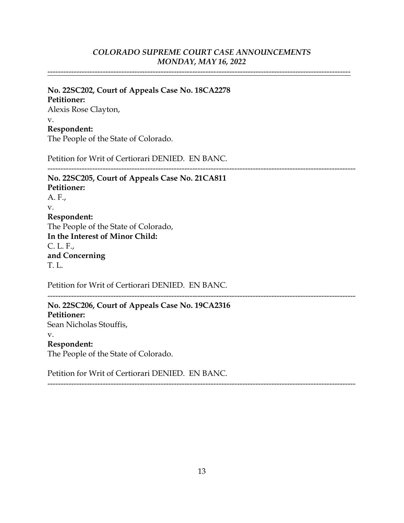-------------------------------------------------------------------------------------------------------------------

---------------------------------------------------------------------------------------------------------------------

## **No. 22SC202, Court of Appeals Case No. 18CA2278 Petitioner:** Alexis Rose Clayton, v.

#### **Respondent:**

The People of the State of Colorado.

Petition for Writ of Certiorari DENIED. EN BANC.

**No. 22SC205, Court of Appeals Case No. 21CA811 Petitioner:** A. F., v. **Respondent:** The People of the State of Colorado, **In the Interest of Minor Child:** C. L. F., **and Concerning** T. L.

Petition for Writ of Certiorari DENIED. EN BANC.

 $-$ 

**No. 22SC206, Court of Appeals Case No. 19CA2316 Petitioner:** Sean Nicholas Stouffis, v. **Respondent:** The People of the State of Colorado.

Petition for Writ of Certiorari DENIED. EN BANC.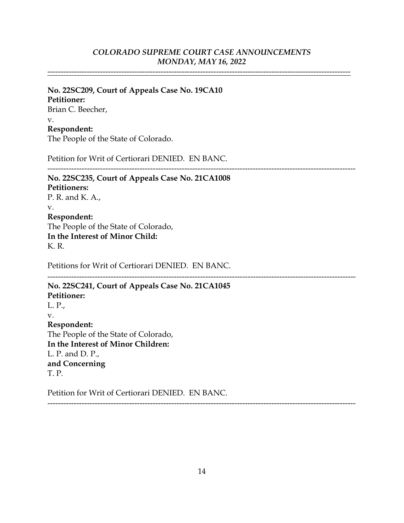## *MONDAY, MAY 16, 2022 COLORADO SUPREME COURT CASE ANNOUNCEMENTS*

-------------------------------------------------------------------------------------------------------------------

## The People of the State of Colorado. **Respondent:** v. Brian C. Beecher, **Petitioner: No. 22SC209, Court of Appeals Case No. 19CA10**

Petition for Writ of Certiorari DENIED. EN BANC.

---------------------------------------------------------------------------------------------------------------------

## K. R. **In the Interest of Minor Child:** The People of the State of Colorado, **Respondent:** v. P. R. and K. A., **Petitioners: No. 22SC235, Court of Appeals Case No. 21CA1008**

Petitions for Writ of Certiorari DENIED. EN BANC.

---------------------------------------------------------------------------------------------------------------------

## L. P. and D. P., **In the Interest of Minor Children:** The People of the State of Colorado, **Respondent:** v. L. P., **Petitioner: No. 22SC241, Court of Appeals Case No. 21CA1045**

T. P. **and Concerning**

Petition for Writ of Certiorari DENIED. EN BANC.